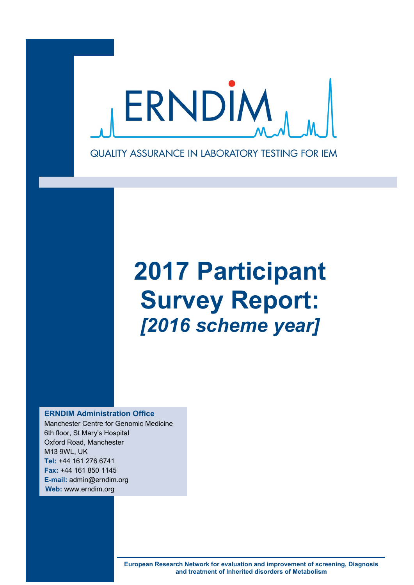

# **2017 Participant Survey Report:** *[2016 scheme year]*

**ERNDIM Administration Office**

Manchester Centre for Genomic Medicine 6th floor, St Mary's Hospital Oxford Road, Manchester M13 9WL, UK **Tel:** +44 161 276 6741 **Fax:** +44 161 850 1145 **E-mail:** admin@erndim.org **Web:** www.erndim.org

> **European Research Network for evaluation and improvement of screening, Diagnosis and treatment of Inherited disorders of Metabolism**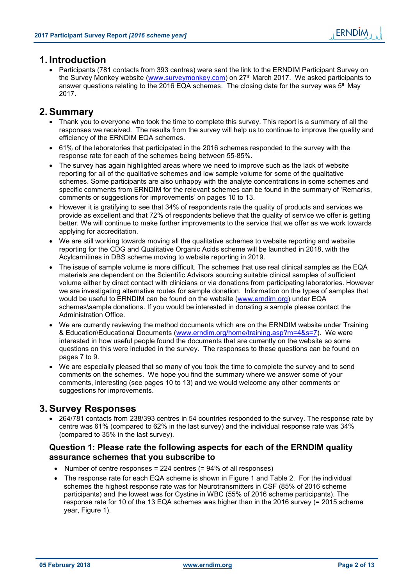# **1. Introduction**

 Participants (781 contacts from 393 centres) were sent the link to the ERNDIM Participant Survey on the Survey Monkey website (www.surveymonkey.com) on 27<sup>th</sup> March 2017. We asked participants to answer questions relating to the 2016 EQA schemes. The closing date for the survey was  $5<sup>th</sup>$  May 2017.

# **2. Summary**

- Thank you to everyone who took the time to complete this survey. This report is a summary of all the responses we received. The results from the survey will help us to continue to improve the quality and efficiency of the ERNDIM EQA schemes.
- 61% of the laboratories that participated in the 2016 schemes responded to the survey with the response rate for each of the schemes being between 55-85%.
- The survey has again highlighted areas where we need to improve such as the lack of website reporting for all of the qualitative schemes and low sample volume for some of the qualitative schemes. Some participants are also unhappy with the analyte concentrations in some schemes and specific comments from ERNDIM for the relevant schemes can be found in the summary of 'Remarks, comments or suggestions for improvements' on pages 10 to 13.
- However it is gratifying to see that 34% of respondents rate the quality of products and services we provide as excellent and that 72% of respondents believe that the quality of service we offer is getting better. We will continue to make further improvements to the service that we offer as we work towards applying for accreditation.
- We are still working towards moving all the qualitative schemes to website reporting and website reporting for the CDG and Qualitative Organic Acids scheme will be launched in 2018, with the Acylcarnitines in DBS scheme moving to website reporting in 2019.
- The issue of sample volume is more difficult. The schemes that use real clinical samples as the EQA materials are dependent on the Scientific Advisors sourcing suitable clinical samples of sufficient volume either by direct contact with clinicians or via donations from participating laboratories. However we are investigating alternative routes for sample donation. Information on the types of samples that would be useful to ERNDIM can be found on the website (www.erndim.org) under EQA schemes\sample donations. If you would be interested in donating a sample please contact the Administration Office.
- We are currently reviewing the method documents which are on the ERNDIM website under Training & Education\Educational Documents (www.erndim.org/home/training.asp?m=4&s=7). We were interested in how useful people found the documents that are currently on the website so some questions on this were included in the survey. The responses to these questions can be found on pages 7 to 9.
- We are especially pleased that so many of you took the time to complete the survey and to send comments on the schemes. We hope you find the summary where we answer some of your comments, interesting (see pages 10 to 13) and we would welcome any other comments or suggestions for improvements.

# **3. Survey Responses**

 264/781 contacts from 238/393 centres in 54 countries responded to the survey. The response rate by centre was 61% (compared to 62% in the last survey) and the individual response rate was 34% (compared to 35% in the last survey).

## **Question 1: Please rate the following aspects for each of the ERNDIM quality assurance schemes that you subscribe to**

- Number of centre responses = 224 centres  $(= 94\%$  of all responses)
- The response rate for each EQA scheme is shown in Figure 1 and Table 2. For the individual schemes the highest response rate was for Neurotransmitters in CSF (85% of 2016 scheme participants) and the lowest was for Cystine in WBC (55% of 2016 scheme participants). The response rate for 10 of the 13 EQA schemes was higher than in the 2016 survey (= 2015 scheme year, Figure 1).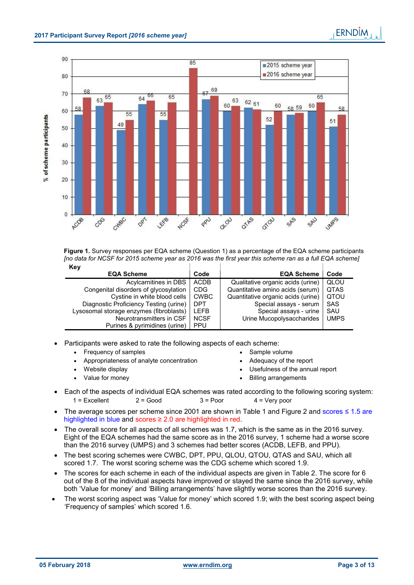

| Figure 1. Survey responses per EQA scheme (Question 1) as a percentage of the EQA scheme participants   |  |  |
|---------------------------------------------------------------------------------------------------------|--|--|
| [no data for NCSF for 2015 scheme year as 2016 was the first year this scheme ran as a full EQA scheme] |  |  |
| $\mathbf{z}$                                                                                            |  |  |

| Key                                     |             |                                    |             |
|-----------------------------------------|-------------|------------------------------------|-------------|
| <b>EQA Scheme</b>                       | Code        | <b>EQA Scheme</b>                  | Code        |
| Acylcarnitines in DBS                   | <b>ACDB</b> | Qualitative organic acids (urine)  | QLOU        |
| Congenital disorders of glycosylation   | <b>CDG</b>  | Quantitative amino acids (serum)   | <b>QTAS</b> |
| Cystine in white blood cells            | <b>CWBC</b> | Quantitative organic acids (urine) | QTOU        |
| Diagnostic Proficiency Testing (urine)  | <b>DPT</b>  | Special assays - serum             | <b>SAS</b>  |
| Lysosomal storage enzymes (fibroblasts) | <b>LEFB</b> | Special assays - urine             | SAU         |
| Neurotransmitters in CSF                | <b>NCSF</b> | Urine Mucopolysaccharides          | <b>UMPS</b> |
| Purines & pyrimidines (urine)           | <b>PPU</b>  |                                    |             |
|                                         |             |                                    |             |

- Participants were asked to rate the following aspects of each scheme:
	- Frequency of samples **SAMP SAMP SAMP SAMP SAMP** volume
- - Appropriateness of analyte concentration **Adequacy of the report**
	- Website display Usefulness of the annual report
	- Value for money and the state of the state of the Billing arrangements
- Each of the aspects of individual EQA schemes was rated according to the following scoring system:  $1 =$  Fxcellent  $2 =$  Good  $3 =$  Poor  $4 =$  Very poor
- The average scores per scheme since 2001 are shown in Table 1 and Figure 2 and scores ≤ 1.5 are highlighted in blue and scores ≥ 2.0 are highlighted in red.
- The overall score for all aspects of all schemes was 1.7, which is the same as in the 2016 survey. Eight of the EQA schemes had the same score as in the 2016 survey, 1 scheme had a worse score than the 2016 survey (UMPS) and 3 schemes had better scores (ACDB, LEFB, and PPU).
- The best scoring schemes were CWBC, DPT, PPU, QLOU, QTOU, QTAS and SAU, which all scored 1.7. The worst scoring scheme was the CDG scheme which scored 1.9.
- The scores for each scheme in each of the individual aspects are given in Table 2. The score for 6 out of the 8 of the individual aspects have improved or stayed the same since the 2016 survey, while both 'Value for money' and 'Billing arrangements' have slightly worse scores than the 2016 survey.
- The worst scoring aspect was 'Value for money' which scored 1.9; with the best scoring aspect being 'Frequency of samples' which scored 1.6.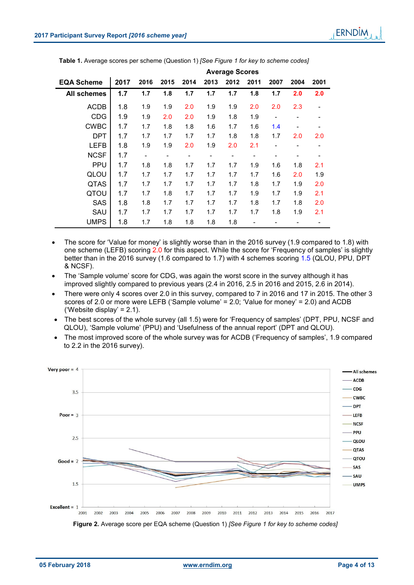|                    |      | Average occres               |      |                              |      |                          |                          |      |      |      |
|--------------------|------|------------------------------|------|------------------------------|------|--------------------------|--------------------------|------|------|------|
| <b>EQA Scheme</b>  | 2017 | 2016                         | 2015 | 2014                         | 2013 | 2012                     | 2011                     | 2007 | 2004 | 2001 |
| <b>All schemes</b> | 1.7  | 1.7                          | 1.8  | 1.7                          | 1.7  | 1.7                      | 1.8                      | 1.7  | 2.0  | 2.0  |
| <b>ACDB</b>        | 1.8  | 1.9                          | 1.9  | 2.0                          | 1.9  | 1.9                      | 2.0                      | 2.0  | 2.3  |      |
| <b>CDG</b>         | 1.9  | 1.9                          | 2.0  | 2.0                          | 1.9  | 1.8                      | 1.9                      |      |      |      |
| <b>CWBC</b>        | 1.7  | 1.7                          | 1.8  | 1.8                          | 1.6  | 1.7                      | 1.6                      | 1.4  |      |      |
| <b>DPT</b>         | 1.7  | 1.7                          | 1.7  | 1.7                          | 1.7  | 1.8                      | 1.8                      | 1.7  | 2.0  | 2.0  |
| <b>LEFB</b>        | 1.8  | 1.9                          | 1.9  | 2.0                          | 1.9  | 2.0                      | 2.1                      |      |      |      |
| <b>NCSF</b>        | 1.7  | $\qquad \qquad \blacksquare$ | -    | $\qquad \qquad \blacksquare$ | -    | $\overline{\phantom{0}}$ | $\overline{\phantom{a}}$ |      |      |      |
| <b>PPU</b>         | 1.7  | 1.8                          | 1.8  | 1.7                          | 1.7  | 1.7                      | 1.9                      | 1.6  | 1.8  | 2.1  |
| QLOU               | 1.7  | 1.7                          | 1.7  | 1.7                          | 1.7  | 1.7                      | 1.7                      | 1.6  | 2.0  | 1.9  |
| QTAS               | 1.7  | 1.7                          | 1.7  | 1.7                          | 1.7  | 1.7                      | 1.8                      | 1.7  | 1.9  | 2.0  |
| QTOU               | 1.7  | 1.7                          | 1.8  | 1.7                          | 1.7  | 1.7                      | 1.9                      | 1.7  | 1.9  | 2.1  |
| <b>SAS</b>         | 1.8  | 1.8                          | 1.7  | 1.7                          | 1.7  | 1.7                      | 1.8                      | 1.7  | 1.8  | 2.0  |
| SAU                | 1.7  | 1.7                          | 1.7  | 1.7                          | 1.7  | 1.7                      | 1.7                      | 1.8  | 1.9  | 2.1  |
| <b>UMPS</b>        | 1.8  | 1.7                          | 1.8  | 1.8                          | 1.8  | 1.8                      |                          |      |      |      |

**Table 1.** Average scores per scheme (Question 1) *[See Figure 1 for key to scheme codes]*

**Average Scores**

- The score for 'Value for money' is slightly worse than in the 2016 survey (1.9 compared to 1.8) with one scheme (LEFB) scoring 2.0 for this aspect. While the score for 'Frequency of samples' is slightly better than in the 2016 survey (1.6 compared to 1.7) with 4 schemes scoring 1.5 (QLOU, PPU, DPT & NCSF).
- The 'Sample volume' score for CDG, was again the worst score in the survey although it has improved slightly compared to previous years (2.4 in 2016, 2.5 in 2016 and 2015, 2.6 in 2014).
- There were only 4 scores over 2.0 in this survey, compared to 7 in 2016 and 17 in 2015. The other 3 scores of 2.0 or more were LEFB ('Sample volume' = 2.0; 'Value for money' = 2.0) and ACDB ('Website display' =  $2.1$ ).
- The best scores of the whole survey (all 1.5) were for 'Frequency of samples' (DPT, PPU, NCSF and QLOU), 'Sample volume' (PPU) and 'Usefulness of the annual report' (DPT and QLOU).
- The most improved score of the whole survey was for ACDB ('Frequency of samples', 1.9 compared to 2.2 in the 2016 survey).

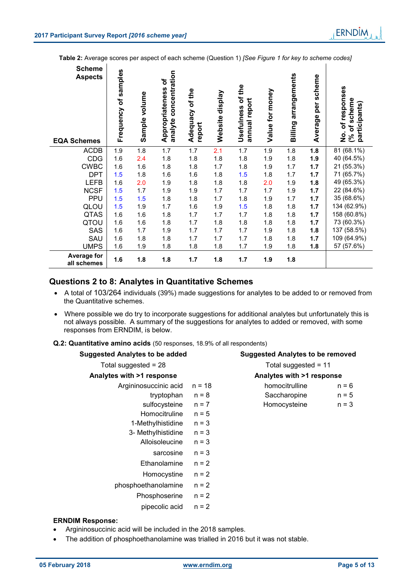$\mathbf{I}$ 

**Table 2:** Average scores per aspect of each scheme (Question 1) *[See Figure 1 for key to scheme codes]*

| <b>Scheme</b><br><b>Aspects</b><br><b>EQA Schemes</b> | Frequency of samples | Sample volume | concentration<br>Appropriateness of<br>analyte | Adequacy of the<br>report | display<br>Website | Usefulness of the<br>annual report | Value for money | arrangements<br>Billing | scheme<br>per<br>Average | of responses<br>scheme<br>participants)<br>(% of)<br><u>o</u><br>2 |
|-------------------------------------------------------|----------------------|---------------|------------------------------------------------|---------------------------|--------------------|------------------------------------|-----------------|-------------------------|--------------------------|--------------------------------------------------------------------|
| <b>ACDB</b>                                           | 1.9                  | 1.8           | 1.7                                            | 1.7                       | 2.1                | 1.7                                | 1.9             | 1.8                     | 1.8                      | 81 (68.1%)                                                         |
| <b>CDG</b>                                            | 1.6                  | 2.4           | 1.8                                            | 1.8                       | 1.8                | 1.8                                | 1.9             | 1.8                     | 1.9                      | 40 (64.5%)                                                         |
| <b>CWBC</b>                                           | 1.6                  | 1.6           | 1.8                                            | 1.8                       | 1.7                | 1.8                                | 1.9             | 1.7                     | 1.7                      | 21 (55.3%)                                                         |
| <b>DPT</b>                                            | 1.5                  | 1.8           | 1.6                                            | 1.6                       | 1.8                | 1.5                                | 1.8             | 1.7                     | 1.7                      | 71 (65.7%)                                                         |
| <b>LEFB</b>                                           | 1.6                  | 2.0           | 1.9                                            | 1.8                       | 1.8                | 1.8                                | 2.0             | 1.9                     | 1.8                      | 49 (65.3%)                                                         |
| <b>NCSF</b>                                           | 1.5                  | 1.7           | 1.9                                            | 1.9                       | 1.7                | 1.7                                | 1.7             | 1.9                     | 1.7                      | 22 (84.6%)                                                         |
| <b>PPU</b>                                            | 1.5                  | 1.5           | 1.8                                            | 1.8                       | 1.7                | 1.8                                | 1.9             | 1.7                     | 1.7                      | 35 (68.6%)                                                         |
| QLOU                                                  | 1.5                  | 1.9           | 1.7                                            | 1.6                       | 1.9                | 1.5                                | 1.8             | 1.8                     | 1.7                      | 134 (62.9%)                                                        |
| <b>QTAS</b>                                           | 1.6                  | 1.6           | 1.8                                            | 1.7                       | 1.7                | 1.7                                | 1.8             | 1.8                     | 1.7                      | 158 (60.8%)                                                        |
| QTOU                                                  | 1.6                  | 1.6           | 1.8                                            | 1.7                       | 1.8                | 1.8                                | 1.8             | 1.8                     | 1.7                      | 73 (60.3%)                                                         |
| SAS                                                   | 1.6                  | 1.7           | 1.9                                            | 1.7                       | 1.7                | 1.7                                | 1.9             | 1.8                     | 1.8                      | 137 (58.5%)                                                        |
| SAU                                                   | 1.6                  | 1.8           | 1.8                                            | 1.7                       | 1.7                | 1.7                                | 1.8             | 1.8                     | 1.7                      | 109 (64.9%)                                                        |
| <b>UMPS</b>                                           | 1.6                  | 1.9           | 1.8                                            | 1.8                       | 1.8                | 1.7                                | 1.9             | 1.8                     | 1.8                      | 57 (57.6%)                                                         |
| Average for<br>all schemes                            | 1.6                  | 1.8           | 1.8                                            | 1.7                       | 1.8                | 1.7                                | 1.9             | 1.8                     |                          |                                                                    |

# **Questions 2 to 8: Analytes in Quantitative Schemes**

- A total of 103/264 individuals (39%) made suggestions for analytes to be added to or removed from the Quantitative schemes.
- Where possible we do try to incorporate suggestions for additional analytes but unfortunately this is not always possible. A summary of the suggestions for analytes to added or removed, with some responses from ERNDIM, is below.

|  |  |  |  |  |  | Q.2: Quantitative amino acids (50 responses, 18.9% of all respondents) |
|--|--|--|--|--|--|------------------------------------------------------------------------|
|--|--|--|--|--|--|------------------------------------------------------------------------|

| <b>Suggested Analytes to be added</b> |          | <b>Suggested Analytes to be removed</b> |         |  |  |
|---------------------------------------|----------|-----------------------------------------|---------|--|--|
| Total suggested = $28$                |          | Total suggested = $11$                  |         |  |  |
| Analytes with >1 response             |          | Analytes with >1 response               |         |  |  |
| Argininosuccinic acid                 | $n = 18$ | homocitrulline                          | $n = 6$ |  |  |
| tryptophan                            | $n = 8$  | Saccharopine                            | $n = 5$ |  |  |
| sulfocysteine                         | $n = 7$  | Homocysteine                            | $n = 3$ |  |  |
| Homocitruline                         | $n = 5$  |                                         |         |  |  |
| 1-Methylhistidine                     | $n = 3$  |                                         |         |  |  |
| 3- Methylhistidine                    | $n = 3$  |                                         |         |  |  |
| Alloisoleucine                        | $n = 3$  |                                         |         |  |  |
| sarcosine                             | $n = 3$  |                                         |         |  |  |
| Ethanolamine                          | $n = 2$  |                                         |         |  |  |
| Homocystine                           | $n = 2$  |                                         |         |  |  |
| phosphoethanolamine                   | $n = 2$  |                                         |         |  |  |
| Phosphoserine                         | $n = 2$  |                                         |         |  |  |
| pipecolic acid                        | $n = 2$  |                                         |         |  |  |

#### **ERNDIM Response:**

- Argininosuccinic acid will be included in the 2018 samples.
- The addition of phosphoethanolamine was trialled in 2016 but it was not stable.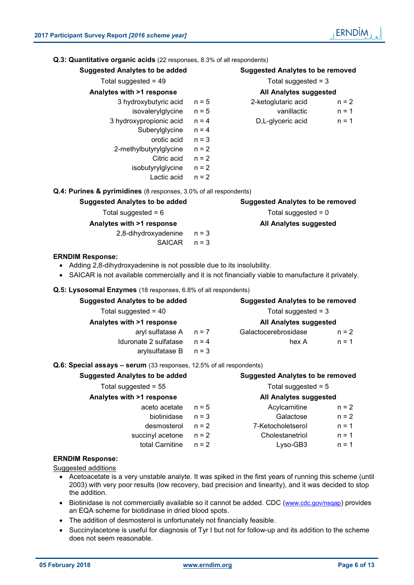| Q.3: Quantitative organic acids (22 responses, 8.3% of all respondents)                                                                                                                                   |         |                                         |                                         |  |  |  |
|-----------------------------------------------------------------------------------------------------------------------------------------------------------------------------------------------------------|---------|-----------------------------------------|-----------------------------------------|--|--|--|
| <b>Suggested Analytes to be added</b>                                                                                                                                                                     |         |                                         | <b>Suggested Analytes to be removed</b> |  |  |  |
| Total suggested = $49$                                                                                                                                                                                    |         | Total suggested $=$ 3                   |                                         |  |  |  |
| Analytes with >1 response                                                                                                                                                                                 |         | All Analytes suggested                  |                                         |  |  |  |
| 3 hydroxybutyric acid                                                                                                                                                                                     | $n = 5$ | 2-ketoglutaric acid                     | $n = 2$                                 |  |  |  |
| isovalerylglycine                                                                                                                                                                                         | $n = 5$ | vanillactic                             | $n = 1$                                 |  |  |  |
| 3 hydroxypropionic acid                                                                                                                                                                                   | $n = 4$ | D,L-glyceric acid                       | $n = 1$                                 |  |  |  |
| Suberylglycine                                                                                                                                                                                            | $n = 4$ |                                         |                                         |  |  |  |
| orotic acid                                                                                                                                                                                               | $n = 3$ |                                         |                                         |  |  |  |
| 2-methylbutyrylglycine                                                                                                                                                                                    | $n = 2$ |                                         |                                         |  |  |  |
| Citric acid                                                                                                                                                                                               | $n = 2$ |                                         |                                         |  |  |  |
| isobutyrylglycine                                                                                                                                                                                         | $n = 2$ |                                         |                                         |  |  |  |
| Lactic acid                                                                                                                                                                                               | $n = 2$ |                                         |                                         |  |  |  |
| Q.4: Purines & pyrimidines (8 responses, 3.0% of all respondents)                                                                                                                                         |         |                                         |                                         |  |  |  |
| <b>Suggested Analytes to be added</b>                                                                                                                                                                     |         | <b>Suggested Analytes to be removed</b> |                                         |  |  |  |
| Total suggested = $6$                                                                                                                                                                                     |         | Total suggested $= 0$                   |                                         |  |  |  |
| Analytes with >1 response                                                                                                                                                                                 |         | All Analytes suggested                  |                                         |  |  |  |
| 2,8-dihydroxyadenine                                                                                                                                                                                      | $n = 3$ |                                         |                                         |  |  |  |
| <b>SAICAR</b>                                                                                                                                                                                             | $n = 3$ |                                         |                                         |  |  |  |
| <b>ERNDIM Response:</b><br>• Adding 2,8-dihydroxyadenine is not possible due to its insolubility.<br>• SAICAR is not available commercially and it is not financially viable to manufacture it privately. |         |                                         |                                         |  |  |  |
| Q.5: Lysosomal Enzymes (18 responses, 6.8% of all respondents)                                                                                                                                            |         |                                         |                                         |  |  |  |
| <b>Suggested Analytes to be added</b>                                                                                                                                                                     |         | <b>Suggested Analytes to be removed</b> |                                         |  |  |  |

| <b>Suggested Analytes to be removed</b> |         |  |
|-----------------------------------------|---------|--|
| Total suggested $=$ 3                   |         |  |
| <b>All Analytes suggested</b>           |         |  |
| Galactocerebrosidase                    | $n = 2$ |  |
| hex A                                   | $n = 1$ |  |
|                                         |         |  |
|                                         |         |  |

#### **Q.6: Special assays – serum** (33 responses, 12.5% of all respondents)

| <b>Suggested Analytes to be added</b> | <b>Suggested Analytes to be removed</b> |                        |         |  |  |
|---------------------------------------|-----------------------------------------|------------------------|---------|--|--|
| Total suggested = $55$                |                                         | Total suggested $= 5$  |         |  |  |
| Analytes with >1 response             |                                         | All Analytes suggested |         |  |  |
| aceto acetate                         | $n = 5$                                 | Acylcarnitine          | $n = 2$ |  |  |
| biotinidase                           | $n = 3$                                 | Galactose              | $n = 2$ |  |  |
| desmosterol                           | $n = 2$                                 | 7-Ketocholetserol      | $n = 1$ |  |  |
| succinyl acetone                      | $n = 2$                                 | Cholestanetriol        | $n = 1$ |  |  |
| total Carnitine                       | $n = 2$                                 | $Lyso-GB3$             | $n = 1$ |  |  |

#### **ERNDIM Response:**

Suggested additions

- Acetoacetate is a very unstable analyte. It was spiked in the first years of running this scheme (until 2003) with very poor results (low recovery, bad precision and linearity), and it was decided to stop the addition.
- Biotinidase is not commercially available so it cannot be added. CDC (www.cdc.gov/nsqap) provides an EQA scheme for biotidinase in dried blood spots.
- The addition of desmosterol is unfortunately not financially feasible.
- Succinylacetone is useful for diagnosis of Tyr I but not for follow-up and its addition to the scheme does not seem reasonable.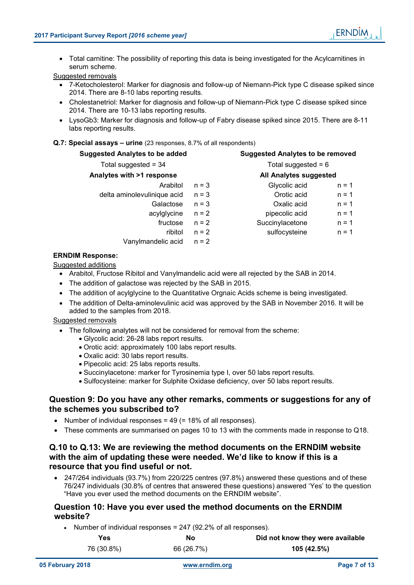Total carnitine: The possibility of reporting this data is being investigated for the Acylcarnitines in serum scheme.

Suggested removals

- 7-Ketocholesterol: Marker for diagnosis and follow-up of Niemann-Pick type C disease spiked since 2014. There are 8-10 labs reporting results.
- Cholestanetriol: Marker for diagnosis and follow-up of Niemann-Pick type C disease spiked since 2014. There are 10-13 labs reporting results.
- LysoGb3: Marker for diagnosis and follow-up of Fabry disease spiked since 2015. There are 8-11 labs reporting results.

#### **Q.7: Special assays – urine** (23 responses, 8.7% of all respondents)

| <b>Suggested Analytes to be added</b> |         | <b>Suggested Analytes to be removed</b> |                       |  |  |
|---------------------------------------|---------|-----------------------------------------|-----------------------|--|--|
| Total suggested = $34$                |         |                                         | Total suggested = $6$ |  |  |
| Analytes with >1 response             |         | All Analytes suggested                  |                       |  |  |
| Arabitol                              | $n = 3$ | Glycolic acid                           | $n = 1$               |  |  |
| delta aminolevulinique acid           | $n = 3$ | Orotic acid                             | $n = 1$               |  |  |
| Galactose                             | $n = 3$ | Oxalic acid                             | $n = 1$               |  |  |
| acylglycine                           | $n = 2$ | pipecolic acid                          | $n = 1$               |  |  |
| fructose                              | $n = 2$ | Succinylacetone                         | $n = 1$               |  |  |
| ribitol                               | $n = 2$ | sulfocysteine                           | $n = 1$               |  |  |
| Vanylmandelic acid                    | $n = 2$ |                                         |                       |  |  |

#### **ERNDIM Response:**

Suggested additions

- Arabitol, Fructose Ribitol and Vanylmandelic acid were all rejected by the SAB in 2014.
- The addition of galactose was rejected by the SAB in 2015.
- The addition of acylglycine to the Quantitative Orgnaic Acids scheme is being investigated.
- The addition of Delta-aminolevulinic acid was approved by the SAB in November 2016. It will be added to the samples from 2018.

#### Suggested removals

- The following analytes will not be considered for removal from the scheme:
	- Glycolic acid: 26-28 labs report results.
	- Orotic acid: approximately 100 labs report results.
	- Oxalic acid: 30 labs report results.
	- Pipecolic acid: 25 labs reports results.
	- Succinylacetone: marker for Tyrosinemia type I, over 50 labs report results.
	- Sulfocysteine: marker for Sulphite Oxidase deficiency, over 50 labs report results.

#### **Question 9: Do you have any other remarks, comments or suggestions for any of the schemes you subscribed to?**

- Number of individual responses = 49 (= 18% of all responses).
- These comments are summarised on pages 10 to 13 with the comments made in response to Q18.

#### **Q.10 to Q.13: We are reviewing the method documents on the ERNDIM website with the aim of updating these were needed. We'd like to know if this is a resource that you find useful or not.**

 247/264 individuals (93.7%) from 220/225 centres (97.8%) answered these questions and of these 76/247 individuals (30.8% of centres that answered these questions) answered 'Yes' to the question "Have you ever used the method documents on the ERNDIM website".

#### **Question 10: Have you ever used the method documents on the ERNDIM website?**

• Number of individual responses =  $247$  (92.2% of all responses).

| Yes        | No         | Did not know they were available |
|------------|------------|----------------------------------|
| 76 (30.8%) | 66 (26.7%) | 105 (42.5%)                      |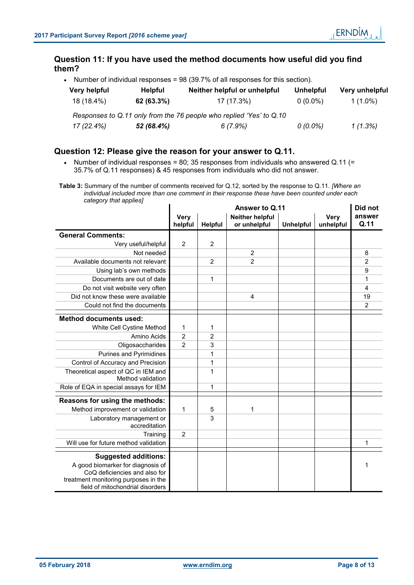# **Question 11: If you have used the method documents how useful did you find them?**

• Number of individual responses =  $98$  (39.7% of all responses for this section).

| Very helpful | <b>Helpful</b> | Neither helpful or unhelpful                                        | Unhelpful  | Very unhelpful |
|--------------|----------------|---------------------------------------------------------------------|------------|----------------|
| 18 (18.4%)   | 62 (63.3%)     | 17 (17.3%)                                                          | $0(0.0\%)$ | $1(1.0\%)$     |
|              |                | Responses to Q.11 only from the 76 people who replied 'Yes' to Q.10 |            |                |
| 17 (22.4%)   | 52 (68.4%)     | 6(7.9%)                                                             | $0(0.0\%)$ | 1(1.3%)        |

# **Question 12: Please give the reason for your answer to Q.11.**

• Number of individual responses = 80; 35 responses from individuals who answered Q.11 (= 35.7% of Q.11 responses) & 45 responses from individuals who did not answer.

**Table 3:** Summary of the number of comments received for Q.12, sorted by the response to Q.11. *[Where an individual included more than one comment in their response these have been counted under each category that applies]*

|                                                                          | Answer to Q.11  |         |                                 |                  |                          | Did not        |
|--------------------------------------------------------------------------|-----------------|---------|---------------------------------|------------------|--------------------------|----------------|
|                                                                          | Very<br>helpful | Helpful | Neither helpful<br>or unhelpful | <b>Unhelpful</b> | <b>Very</b><br>unhelpful | answer<br>Q.11 |
| <b>General Comments:</b>                                                 |                 |         |                                 |                  |                          |                |
| Very useful/helpful                                                      | $\overline{2}$  | 2       |                                 |                  |                          |                |
| Not needed                                                               |                 |         | $\overline{2}$                  |                  |                          | 8              |
| Available documents not relevant                                         |                 | 2       | $\overline{2}$                  |                  |                          | 2              |
| Using lab's own methods                                                  |                 |         |                                 |                  |                          | 9              |
| Documents are out of date                                                |                 | 1       |                                 |                  |                          | 1              |
| Do not visit website very often                                          |                 |         |                                 |                  |                          | 4              |
| Did not know these were available                                        |                 |         | 4                               |                  |                          | 19             |
| Could not find the documents                                             |                 |         |                                 |                  |                          | 2              |
| <b>Method documents used:</b>                                            |                 |         |                                 |                  |                          |                |
| White Cell Cystine Method                                                | 1               | 1       |                                 |                  |                          |                |
| Amino Acids                                                              | $\overline{2}$  | 2       |                                 |                  |                          |                |
| Oligosaccharides                                                         | $\overline{2}$  | 3       |                                 |                  |                          |                |
| <b>Purines and Pyrimidines</b>                                           |                 | 1       |                                 |                  |                          |                |
| Control of Accuracy and Precision                                        |                 | 1       |                                 |                  |                          |                |
| Theoretical aspect of QC in IEM and<br>Method validation                 |                 | 1       |                                 |                  |                          |                |
| Role of EQA in special assays for IEM                                    |                 | 1       |                                 |                  |                          |                |
| Reasons for using the methods:                                           |                 |         |                                 |                  |                          |                |
| Method improvement or validation                                         | 1               | 5       | 1                               |                  |                          |                |
| Laboratory management or<br>accreditation                                |                 | 3       |                                 |                  |                          |                |
| Training                                                                 | $\overline{c}$  |         |                                 |                  |                          |                |
| Will use for future method validation                                    |                 |         |                                 |                  |                          | 1              |
| <b>Suggested additions:</b>                                              |                 |         |                                 |                  |                          |                |
| A good biomarker for diagnosis of                                        |                 |         |                                 |                  |                          | 1              |
| CoQ deficiencies and also for                                            |                 |         |                                 |                  |                          |                |
| treatment monitoring purposes in the<br>field of mitochondrial disorders |                 |         |                                 |                  |                          |                |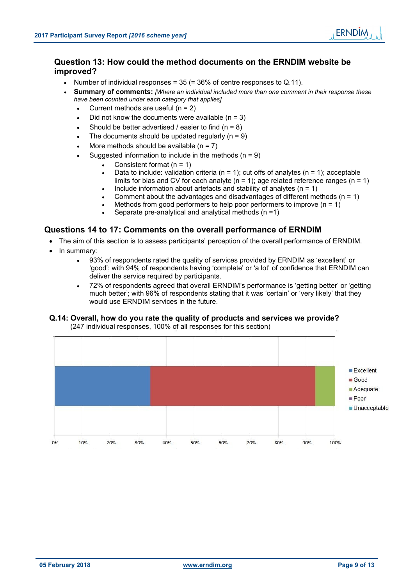# **Question 13: How could the method documents on the ERNDIM website be improved?**

- Number of individual responses =  $35$  (=  $36\%$  of centre responses to Q.11).
- **Summary of comments:** *[Where an individual included more than one comment in their response these have been counted under each category that applies]*
	- Current methods are useful  $(n = 2)$
	- Did not know the documents were available  $(n = 3)$
	- Should be better advertised / easier to find  $(n = 8)$
	- The documents should be updated regularly  $(n = 9)$
	- More methods should be available  $(n = 7)$
	- Suggested information to include in the methods  $(n = 9)$ 
		- Consistent format (n = 1)
		- Data to include: validation criteria ( $n = 1$ ); cut offs of analytes ( $n = 1$ ); acceptable limits for bias and CV for each analyte ( $n = 1$ ); age related reference ranges ( $n = 1$ )
		- Include information about artefacts and stability of analytes ( $n = 1$ )
		- Comment about the advantages and disadvantages of different methods  $(n = 1)$
		- Methods from good performers to help poor performers to improve  $(n = 1)$ 
			- Separate pre-analytical and analytical methods (n =1)

#### **Questions 14 to 17: Comments on the overall performance of ERNDIM**

- The aim of this section is to assess participants' perception of the overall performance of ERNDIM.
- In summary:
	- 93% of respondents rated the quality of services provided by ERNDIM as 'excellent' or 'good'; with 94% of respondents having 'complete' or 'a lot' of confidence that ERNDIM can deliver the service required by participants.
	- 72% of respondents agreed that overall ERNDIM's performance is 'getting better' or 'getting much better'; with 96% of respondents stating that it was 'certain' or 'very likely' that they would use ERNDIM services in the future.

#### **Q.14: Overall, how do you rate the quality of products and services we provide?** (247 individual responses, 100% of all responses for this section)

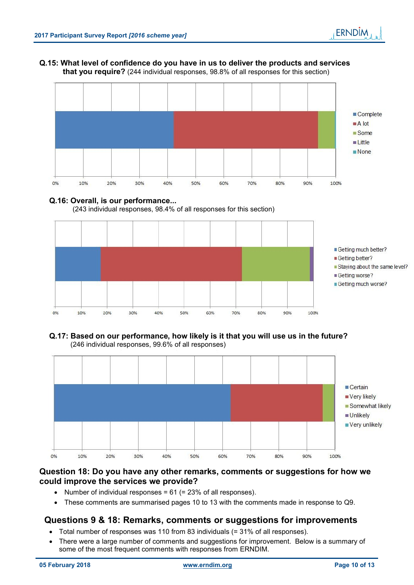#### **Q.15: What level of confidence do you have in us to deliver the products and services that you require?** (244 individual responses, 98.8% of all responses for this section)



#### **Q.16: Overall, is our performance...**





#### **Q.17: Based on our performance, how likely is it that you will use us in the future?** (246 individual responses, 99.6% of all responses)



# **Question 18: Do you have any other remarks, comments or suggestions for how we could improve the services we provide?**

- Number of individual responses =  $61$  (=  $23\%$  of all responses).
- These comments are summarised pages 10 to 13 with the comments made in response to Q9.

# **Questions 9 & 18: Remarks, comments or suggestions for improvements**

- Total number of responses was 110 from 83 individuals (= 31% of all responses).
- There were a large number of comments and suggestions for improvement. Below is a summary of some of the most frequent comments with responses from ERNDIM.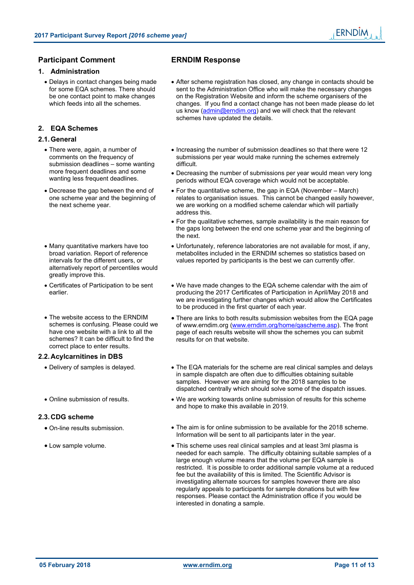# **Participant Comment ERNDIM Response**

#### **1. Administration**

 Delays in contact changes being made for some EQA schemes. There should be one contact point to make changes which feeds into all the schemes.

# **2. EQA Schemes**

#### **2.1. General**

- There were, again, a number of comments on the frequency of submission deadlines – some wanting more frequent deadlines and some wanting less frequent deadlines.
- Decrease the gap between the end of one scheme year and the beginning of the next scheme year.
- Many quantitative markers have too broad variation. Report of reference intervals for the different users, or alternatively report of percentiles would greatly improve this.
- Certificates of Participation to be sent earlier.
- The website access to the ERNDIM schemes is confusing. Please could we have one website with a link to all the schemes? It can be difficult to find the correct place to enter results.

#### **2.2. Acylcarnitines in DBS**

- 
- 

#### **2.3. CDG scheme**

- 
- 

- After scheme registration has closed, any change in contacts should be sent to the Administration Office who will make the necessary changes on the Registration Website and inform the scheme organisers of the changes. If you find a contact change has not been made please do let us know (admin@erndim.org) and we will check that the relevant schemes have updated the details.
- Increasing the number of submission deadlines so that there were 12 submissions per year would make running the schemes extremely difficult.
- Decreasing the number of submissions per year would mean very long periods without EQA coverage which would not be acceptable.
- For the quantitative scheme, the gap in EQA (November March) relates to organisation issues. This cannot be changed easily however, we are working on a modified scheme calendar which will partially address this.
- For the qualitative schemes, sample availability is the main reason for the gaps long between the end one scheme year and the beginning of the next.
- Unfortunately, reference laboratories are not available for most, if any, metabolites included in the ERNDIM schemes so statistics based on values reported by participants is the best we can currently offer.
- We have made changes to the EQA scheme calendar with the aim of producing the 2017 Certificates of Participation in April/May 2018 and we are investigating further changes which would allow the Certificates to be produced in the first quarter of each year.
- There are links to both results submission websites from the EQA page of www.erndim.org (www.erndim.org/home/qascheme.asp). The front page of each results website will show the schemes you can submit results for on that website.
- Delivery of samples is delayed. The EQA materials for the scheme are real clinical samples and delays in sample dispatch are often due to difficulties obtaining suitable samples. However we are aiming for the 2018 samples to be dispatched centrally which should solve some of the dispatch issues.
- Online submission of results. We are working towards online submission of results for this scheme and hope to make this available in 2019.
- On-line results submission. The aim is for online submission to be available for the 2018 scheme. Information will be sent to all participants later in the year.
- Low sample volume.  $\bullet$  This scheme uses real clinical samples and at least 3ml plasma is needed for each sample. The difficulty obtaining suitable samples of a large enough volume means that the volume per EQA sample is restricted. It is possible to order additional sample volume at a reduced fee but the availability of this is limited. The Scientific Advisor is investigating alternate sources for samples however there are also regularly appeals to participants for sample donations but with few responses. Please contact the Administration office if you would be interested in donating a sample.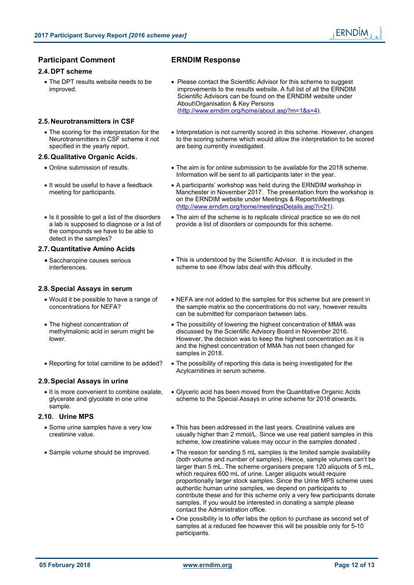# **Participant Comment ERNDIM Response**

#### **2.4. DPT scheme**

• The DPT results website needs to be improved.

# **2.5. Neurotransmitters in CSF**

 The scoring for the interpretation for the Neurotransmitters in CSF scheme it not specified in the yearly report.

## **2.6. Qualitative Organic Acids.**

- 
- It would be useful to have a feedback meeting for participants.
- Is it possible to get a list of the disorders a lab is supposed to diagnose or a list of the compounds we have to be able to detect in the samples?

## **2.7. Quantitative Amino Acids**

 Saccharopine causes serious interferences.

# **2.8. Special Assays in serum**

- Would it be possible to have a range of concentrations for NEFA?
- The highest concentration of methylmalonic acid in serum might be lower.
- 

# **2.9. Special Assays in urine**

• It is more convenient to combine oxalate, glycerate and glycolate in one urine sample.

# **2.10. Urine MPS**

- Some urine samples have a very low creatinine value.
- 

- Please contact the Scientific Advisor for this scheme to suggest improvements to the results website. A full list of all the ERNDIM Scientific Advisors can be found on the ERNDIM website under About\Organisation & Key Persons (http://www.erndim.org/home/about.asp?m=1&s=4).
- Interpretation is not currently scored in this scheme. However, changes to the scoring scheme which would allow the interpretation to be scored are being currently investigated.
- Online submission of results. The aim is for online submission to be available for the 2018 scheme. Information will be sent to all participants later in the year.
	- A participants' workshop was held during the ERNDIM workshop in Manchester in November 2017. The presentation from the workshop is on the ERNDIM website under Meetings & Reports\Meetings (http://www.erndim.org/home/meetingsDetails.asp?i=21).
	- The aim of the scheme is to replicate clinical practice so we do not provide a list of disorders or compounds for this scheme.
	- This is understood by the Scientific Advisor. It is included in the scheme to see if/how labs deal with this difficulty.
	- NEFA are not added to the samples for this scheme but are present in the sample matrix so the concentrations do not vary, however results can be submitted for comparison between labs.
	- The possibility of lowering the highest concentration of MMA was discussed by the Scientific Advisory Board in November 2016. However, the decision was to keep the highest concentration as it is and the highest concentration of MMA has not been changed for samples in 2018.
- Reporting for total carnitine to be added? The possibility of reporting this data is being investigated for the Acylcarnitines in serum scheme.
	- Glyceric acid has been moved from the Quantitative Organic Acids scheme to the Special Assays in urine scheme for 2018 onwards.
	- This has been addressed in the last years. Creatinine values are usually higher than 2 mmol/L. Since we use real patient samples in this scheme, low creatinine values may occur in the samples donated .
- Sample volume should be improved. The reason for sending 5 mL samples is the limited sample availability (both volume and number of samples). Hence, sample volumes can't be larger than 5 mL. The scheme organisers prepare 120 aliquots of 5 mL, which requires 600 mL of urine. Larger aliquots would require proportionally larger stock samples. Since the Urine MPS scheme uses authentic human urine samples, we depend on participants to contribute these and for this scheme only a very few participants donate samples. If you would be interested in donating a sample please contact the Administration office.
	- One possibility is to offer labs the option to purchase as second set of samples at a reduced fee however this will be possible only for 5-10 participants.